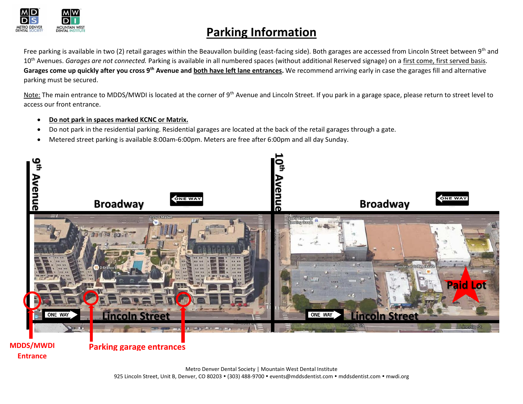

## **Parking Information**

Free parking is available in two (2) retail garages within the Beauvallon building (east-facing side). Both garages are accessed from Lincoln Street between 9<sup>th</sup> and 10<sup>th</sup> Avenues. *Garages are not connected*. Parking is available in all numbered spaces (without additional Reserved signage) on a first come, first served basis. **Garages come up quickly after you cross 9th Avenue and both have left lane entrances.** We recommend arriving early in case the garages fill and alternative parking must be secured.

Note: The main entrance to MDDS/MWDI is located at the corner of 9<sup>th</sup> Avenue and Lincoln Street. If you park in a garage space, please return to street level to access our front entrance.

- **Do not park in spaces marked KCNC or Matrix.**
- Do not park in the residential parking. Residential garages are located at the back of the retail garages through a gate.
- Metered street parking is available 8:00am-6:00pm. Meters are free after 6:00pm and all day Sunday.



**Entrance**

Metro Denver Dental Society | Mountain West Dental Institute 925 Lincoln Street, Unit B, Denver, CO 80203 · (303) 488-9700 · events@mddsdentist.com · mddsdentist.com · mwdi.org